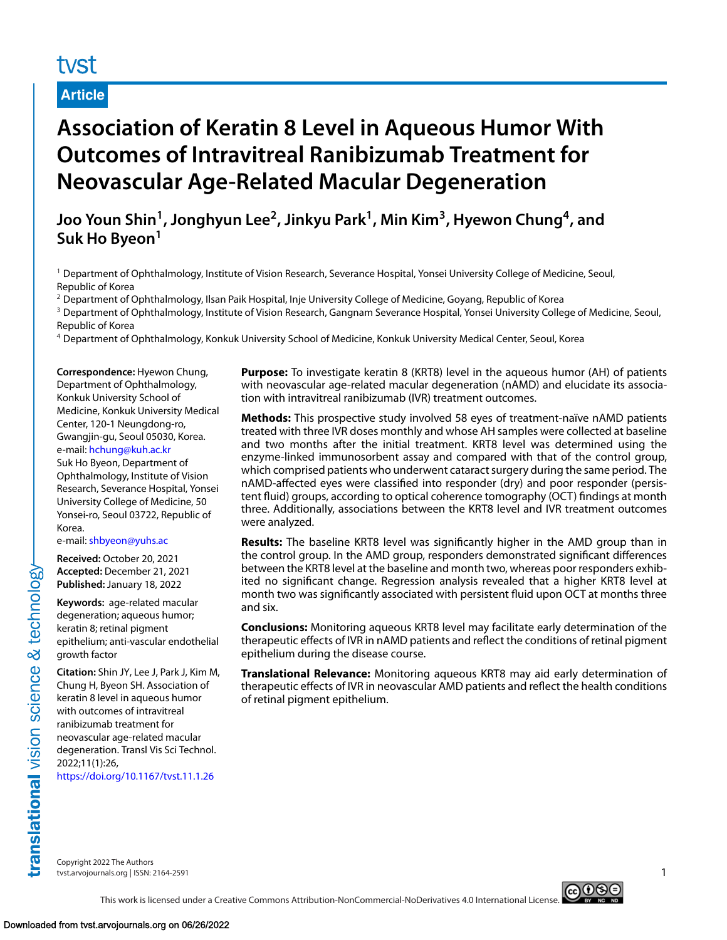# tyst

## **Article**

# **Association of Keratin 8 Level in Aqueous Humor With Outcomes of Intravitreal Ranibizumab Treatment for Neovascular Age-Related Macular Degeneration**

**Joo Youn Shin1, Jonghyun Lee2, Jinkyu Park1, Min Kim3, Hyewon Chung4, and Suk Ho Byeon<sup>1</sup>**

<sup>1</sup> Department of Ophthalmology, Institute of Vision Research, Severance Hospital, Yonsei University College of Medicine, Seoul, Republic of Korea

<sup>2</sup> Department of Ophthalmology, Ilsan Paik Hospital, Inje University College of Medicine, Goyang, Republic of Korea

<sup>3</sup> Department of Ophthalmology, Institute of Vision Research, Gangnam Severance Hospital, Yonsei University College of Medicine, Seoul, Republic of Korea

<sup>4</sup> Department of Ophthalmology, Konkuk University School of Medicine, Konkuk University Medical Center, Seoul, Korea

**Correspondence:** Hyewon Chung, Department of Ophthalmology, Konkuk University School of Medicine, Konkuk University Medical Center, 120-1 Neungdong-ro, Gwangjin-gu, Seoul 05030, Korea. e-mail: [hchung@kuh.ac.kr](mailto:hchung@kuh.ac.kr) Suk Ho Byeon, Department of Ophthalmology, Institute of Vision Research, Severance Hospital, Yonsei University College of Medicine, 50 Yonsei-ro, Seoul 03722, Republic of Korea.

e-mail: [shbyeon@yuhs.ac](mailto:shbyeon@yuhs.ac)

**Received:** October 20, 2021 **Accepted:** December 21, 2021 **Published:** January 18, 2022

**Keywords:** age-related macular degeneration; aqueous humor; keratin 8; retinal pigment epithelium; anti-vascular endothelial growth factor

**Citation:** Shin JY, Lee J, Park J, Kim M, Chung H, Byeon SH. Association of keratin 8 level in aqueous humor with outcomes of intravitreal ranibizumab treatment for neovascular age-related macular degeneration. Transl Vis Sci Technol. 2022;11(1):26,

<https://doi.org/10.1167/tvst.11.1.26>

**Purpose:** To investigate keratin 8 (KRT8) level in the aqueous humor (AH) of patients with neovascular age-related macular degeneration (nAMD) and elucidate its association with intravitreal ranibizumab (IVR) treatment outcomes.

**Methods:** This prospective study involved 58 eyes of treatment-naïve nAMD patients treated with three IVR doses monthly and whose AH samples were collected at baseline and two months after the initial treatment. KRT8 level was determined using the enzyme-linked immunosorbent assay and compared with that of the control group, which comprised patients who underwent cataract surgery during the same period. The nAMD-affected eyes were classified into responder (dry) and poor responder (persistent fluid) groups, according to optical coherence tomography (OCT) findings at month three. Additionally, associations between the KRT8 level and IVR treatment outcomes were analyzed.

**Results:** The baseline KRT8 level was significantly higher in the AMD group than in the control group. In the AMD group, responders demonstrated significant differences between the KRT8 level at the baseline and month two, whereas poor responders exhibited no significant change. Regression analysis revealed that a higher KRT8 level at month two was significantly associated with persistent fluid upon OCT at months three and six.

**Conclusions:** Monitoring aqueous KRT8 level may facilitate early determination of the therapeutic effects of IVR in nAMD patients and reflect the conditions of retinal pigment epithelium during the disease course.

**Translational Relevance:** Monitoring aqueous KRT8 may aid early determination of therapeutic effects of IVR in neovascular AMD patients and reflect the health conditions of retinal pigment epithelium.

translational vision science & technology

Copyright 2022 The Authors tvst.arvojournals.org | ISSN: 2164-2591 1

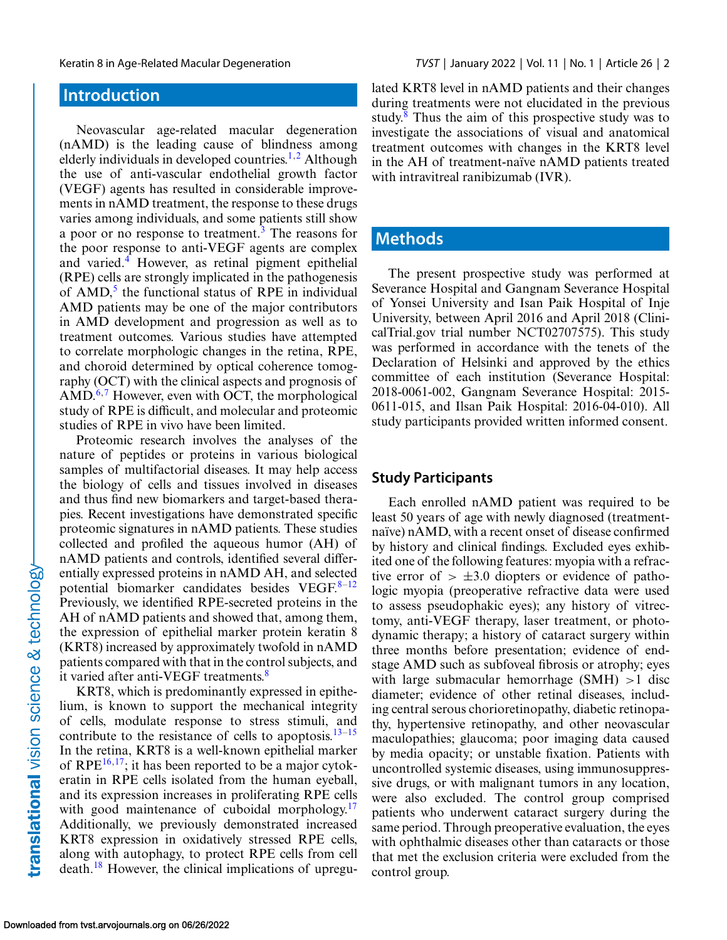# **Introduction**

Neovascular age-related macular degeneration (nAMD) is the leading cause of blindness among elderly individuals in developed countries.<sup>[1,2](#page-8-0)</sup> Although the use of anti-vascular endothelial growth factor (VEGF) agents has resulted in considerable improvements in nAMD treatment, the response to these drugs varies among individuals, and some patients still show a poor or no response to treatment.<sup>[3](#page-8-0)</sup> The reasons for the poor response to anti-VEGF agents are complex and varied.<sup>4</sup> However, as retinal pigment epithelial (RPE) cells are strongly implicated in the pathogenesis of  $AMD<sub>1</sub><sup>5</sup>$  the functional status of RPE in individual AMD patients may be one of the major contributors in AMD development and progression as well as to treatment outcomes. Various studies have attempted to correlate morphologic changes in the retina, RPE, and choroid determined by optical coherence tomography (OCT) with the clinical aspects and prognosis of  $\text{AMD}^{6,7}$  $\text{AMD}^{6,7}$  $\text{AMD}^{6,7}$  However, even with OCT, the morphological study of RPE is difficult, and molecular and proteomic studies of RPE in vivo have been limited.

Proteomic research involves the analyses of the nature of peptides or proteins in various biological samples of multifactorial diseases. It may help access the biology of cells and tissues involved in diseases and thus find new biomarkers and target-based therapies. Recent investigations have demonstrated specific proteomic signatures in nAMD patients. These studies collected and profiled the aqueous humor (AH) of nAMD patients and controls, identified several differentially expressed proteins in nAMD AH, and selected potential biomarker candidates besides VEGF. $8-12$ Previously, we identified RPE-secreted proteins in the AH of nAMD patients and showed that, among them, the expression of epithelial marker protein keratin 8 (KRT8) increased by approximately twofold in nAMD patients compared with that in the control subjects, and it varied after anti-VEGF treatments.<sup>[8](#page-9-0)</sup>

KRT8, which is predominantly expressed in epithelium, is known to support the mechanical integrity of cells, modulate response to stress stimuli, and contribute to the resistance of cells to apoptosis.<sup>13–15</sup> In the retina, KRT8 is a well-known epithelial marker of RPE $^{16,17}$ ; it has been reported to be a major cytokeratin in RPE cells isolated from the human eyeball, and its expression increases in proliferating RPE cells with good maintenance of cuboidal morphology. $17$ Additionally, we previously demonstrated increased KRT8 expression in oxidatively stressed RPE cells, along with autophagy, to protect RPE cells from cell death.[18](#page-9-0) However, the clinical implications of upregulated KRT8 level in nAMD patients and their changes during treatments were not elucidated in the previous study. $8$  Thus the aim of this prospective study was to investigate the associations of visual and anatomical treatment outcomes with changes in the KRT8 level in the AH of treatment-naïve nAMD patients treated with intravitreal ranibizumab (IVR).

## **Methods**

The present prospective study was performed at Severance Hospital and Gangnam Severance Hospital of Yonsei University and Isan Paik Hospital of Inje University, between April 2016 and April 2018 (ClinicalTrial.gov trial number NCT02707575). This study was performed in accordance with the tenets of the Declaration of Helsinki and approved by the ethics committee of each institution (Severance Hospital: 2018-0061-002, Gangnam Severance Hospital: 2015- 0611-015, and Ilsan Paik Hospital: 2016-04-010). All study participants provided written informed consent.

#### **Study Participants**

Each enrolled nAMD patient was required to be least 50 years of age with newly diagnosed (treatmentnaïve) nAMD, with a recent onset of disease confirmed by history and clinical findings. Excluded eyes exhibited one of the following features: myopia with a refractive error of  $> \pm 3.0$  diopters or evidence of pathologic myopia (preoperative refractive data were used to assess pseudophakic eyes); any history of vitrectomy, anti-VEGF therapy, laser treatment, or photodynamic therapy; a history of cataract surgery within three months before presentation; evidence of endstage AMD such as subfoveal fibrosis or atrophy; eyes with large submacular hemorrhage  $(SMH) > 1$  disc diameter; evidence of other retinal diseases, including central serous chorioretinopathy, diabetic retinopathy, hypertensive retinopathy, and other neovascular maculopathies; glaucoma; poor imaging data caused by media opacity; or unstable fixation. Patients with uncontrolled systemic diseases, using immunosuppressive drugs, or with malignant tumors in any location, were also excluded. The control group comprised patients who underwent cataract surgery during the same period. Through preoperative evaluation, the eyes with ophthalmic diseases other than cataracts or those that met the exclusion criteria were excluded from the control group.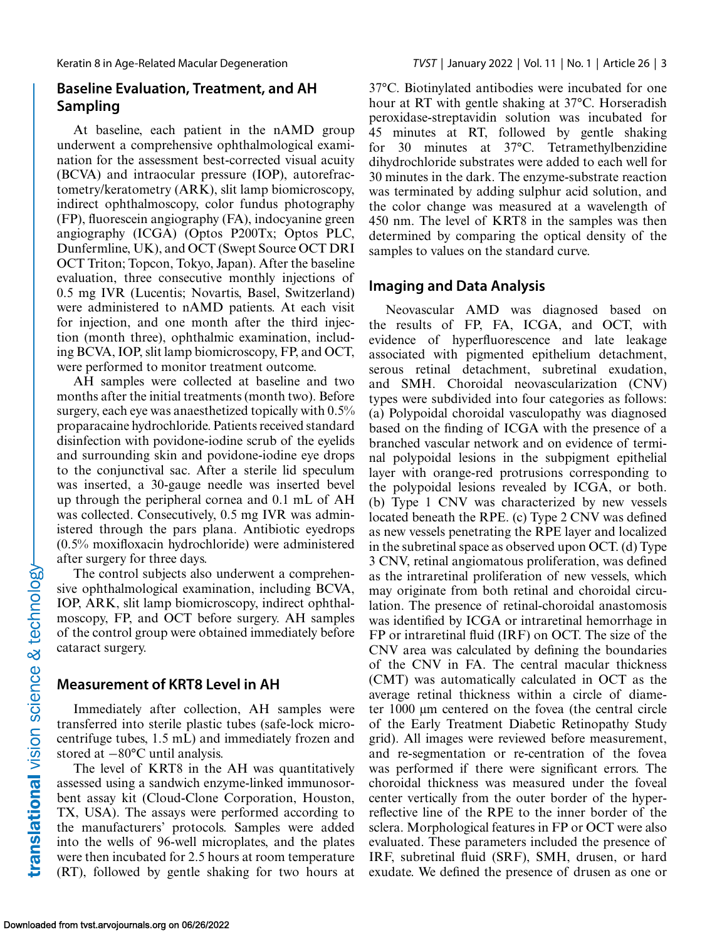### **Baseline Evaluation, Treatment, and AH Sampling**

At baseline, each patient in the nAMD group underwent a comprehensive ophthalmological examination for the assessment best-corrected visual acuity (BCVA) and intraocular pressure (IOP), autorefractometry/keratometry (ARK), slit lamp biomicroscopy, indirect ophthalmoscopy, color fundus photography (FP), fluorescein angiography (FA), indocyanine green angiography (ICGA) (Optos P200Tx; Optos PLC, Dunfermline, UK), and OCT (Swept Source OCT DRI OCT Triton; Topcon, Tokyo, Japan). After the baseline evaluation, three consecutive monthly injections of 0.5 mg IVR (Lucentis; Novartis, Basel, Switzerland) were administered to nAMD patients. At each visit for injection, and one month after the third injection (month three), ophthalmic examination, including BCVA, IOP, slit lamp biomicroscopy, FP, and OCT, were performed to monitor treatment outcome.

AH samples were collected at baseline and two months after the initial treatments (month two). Before surgery, each eye was anaesthetized topically with 0.5% proparacaine hydrochloride. Patients received standard disinfection with povidone-iodine scrub of the eyelids and surrounding skin and povidone-iodine eye drops to the conjunctival sac. After a sterile lid speculum was inserted, a 30-gauge needle was inserted bevel up through the peripheral cornea and 0.1 mL of AH was collected. Consecutively, 0.5 mg IVR was administered through the pars plana. Antibiotic eyedrops (0.5% moxifloxacin hydrochloride) were administered after surgery for three days.

The control subjects also underwent a comprehensive ophthalmological examination, including BCVA, IOP, ARK, slit lamp biomicroscopy, indirect ophthalmoscopy, FP, and OCT before surgery. AH samples of the control group were obtained immediately before cataract surgery.

#### **Measurement of KRT8 Level in AH**

Immediately after collection, AH samples were transferred into sterile plastic tubes (safe-lock microcentrifuge tubes, 1.5 mL) and immediately frozen and stored at −80°C until analysis.

The level of KRT8 in the AH was quantitatively assessed using a sandwich enzyme-linked immunosorbent assay kit (Cloud-Clone Corporation, Houston, TX, USA). The assays were performed according to the manufacturers' protocols. Samples were added into the wells of 96-well microplates, and the plates were then incubated for 2.5 hours at room temperature (RT), followed by gentle shaking for two hours at

37°C. Biotinylated antibodies were incubated for one hour at RT with gentle shaking at 37°C. Horseradish peroxidase-streptavidin solution was incubated for 45 minutes at RT, followed by gentle shaking for 30 minutes at 37°C. Tetramethylbenzidine dihydrochloride substrates were added to each well for 30 minutes in the dark. The enzyme-substrate reaction was terminated by adding sulphur acid solution, and the color change was measured at a wavelength of 450 nm. The level of KRT8 in the samples was then determined by comparing the optical density of the samples to values on the standard curve.

#### **Imaging and Data Analysis**

Neovascular AMD was diagnosed based on the results of FP, FA, ICGA, and OCT, with evidence of hyperfluorescence and late leakage associated with pigmented epithelium detachment, serous retinal detachment, subretinal exudation, and SMH. Choroidal neovascularization (CNV) types were subdivided into four categories as follows: (a) Polypoidal choroidal vasculopathy was diagnosed based on the finding of ICGA with the presence of a branched vascular network and on evidence of terminal polypoidal lesions in the subpigment epithelial layer with orange-red protrusions corresponding to the polypoidal lesions revealed by ICGA, or both. (b) Type 1 CNV was characterized by new vessels located beneath the RPE. (c) Type 2 CNV was defined as new vessels penetrating the RPE layer and localized in the subretinal space as observed upon OCT. (d) Type 3 CNV, retinal angiomatous proliferation, was defined as the intraretinal proliferation of new vessels, which may originate from both retinal and choroidal circulation. The presence of retinal-choroidal anastomosis was identified by ICGA or intraretinal hemorrhage in FP or intraretinal fluid (IRF) on OCT. The size of the CNV area was calculated by defining the boundaries of the CNV in FA. The central macular thickness (CMT) was automatically calculated in OCT as the average retinal thickness within a circle of diameter 1000 μm centered on the fovea (the central circle of the Early Treatment Diabetic Retinopathy Study grid). All images were reviewed before measurement, and re-segmentation or re-centration of the fovea was performed if there were significant errors. The choroidal thickness was measured under the foveal center vertically from the outer border of the hyperreflective line of the RPE to the inner border of the sclera. Morphological features in FP or OCT were also evaluated. These parameters included the presence of IRF, subretinal fluid (SRF), SMH, drusen, or hard exudate. We defined the presence of drusen as one or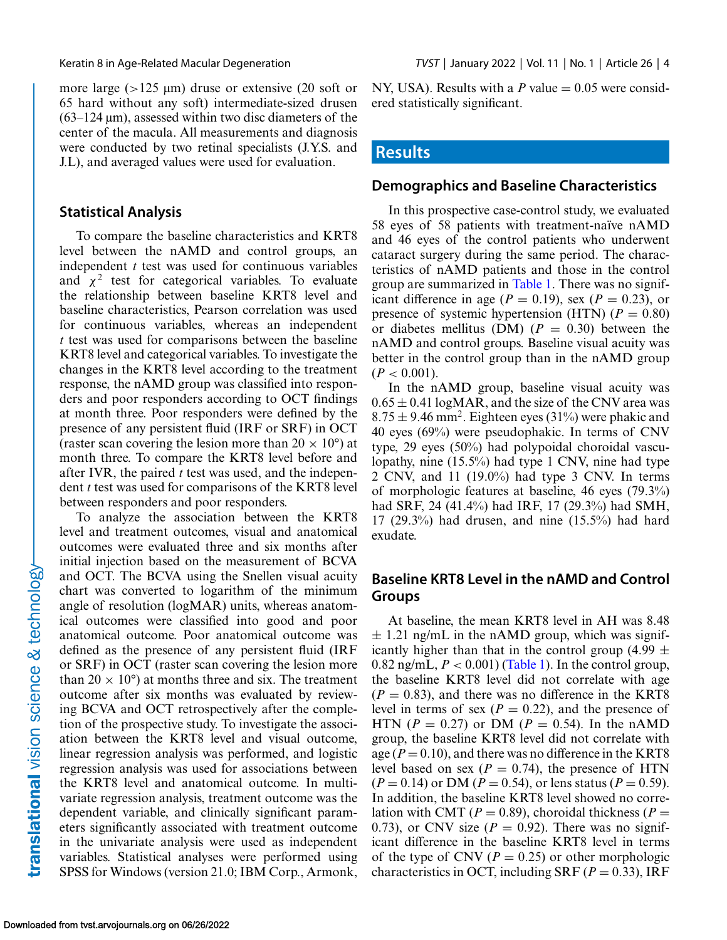more large (>125 μm) druse or extensive (20 soft or 65 hard without any soft) intermediate-sized drusen  $(63-124 \,\mu m)$ , assessed within two disc diameters of the center of the macula. All measurements and diagnosis were conducted by two retinal specialists (J.Y.S. and J.L), and averaged values were used for evaluation.

#### **Statistical Analysis**

To compare the baseline characteristics and KRT8 level between the nAMD and control groups, an independent *t* test was used for continuous variables and  $\chi^2$  test for categorical variables. To evaluate the relationship between baseline KRT8 level and baseline characteristics, Pearson correlation was used for continuous variables, whereas an independent *t* test was used for comparisons between the baseline KRT8 level and categorical variables. To investigate the changes in the KRT8 level according to the treatment response, the nAMD group was classified into responders and poor responders according to OCT findings at month three. Poor responders were defined by the presence of any persistent fluid (IRF or SRF) in OCT (raster scan covering the lesion more than  $20 \times 10^{\circ}$ ) at month three. To compare the KRT8 level before and after IVR, the paired *t* test was used, and the independent *t* test was used for comparisons of the KRT8 level between responders and poor responders.

To analyze the association between the KRT8 level and treatment outcomes, visual and anatomical outcomes were evaluated three and six months after initial injection based on the measurement of BCVA and OCT. The BCVA using the Snellen visual acuity chart was converted to logarithm of the minimum angle of resolution (logMAR) units, whereas anatomical outcomes were classified into good and poor anatomical outcome. Poor anatomical outcome was defined as the presence of any persistent fluid (IRF or SRF) in OCT (raster scan covering the lesion more than  $20 \times 10^{\circ}$  at months three and six. The treatment outcome after six months was evaluated by reviewing BCVA and OCT retrospectively after the completion of the prospective study. To investigate the association between the KRT8 level and visual outcome, linear regression analysis was performed, and logistic regression analysis was used for associations between the KRT8 level and anatomical outcome. In multivariate regression analysis, treatment outcome was the dependent variable, and clinically significant parameters significantly associated with treatment outcome in the univariate analysis were used as independent variables. Statistical analyses were performed using SPSS for Windows (version 21.0; IBM Corp., Armonk, NY, USA). Results with a  $P$  value  $= 0.05$  were considered statistically significant.

#### **Results**

#### **Demographics and Baseline Characteristics**

In this prospective case-control study, we evaluated 58 eyes of 58 patients with treatment-naïve nAMD and 46 eyes of the control patients who underwent cataract surgery during the same period. The characteristics of nAMD patients and those in the control group are summarized in [Table 1.](#page-4-0) There was no significant difference in age ( $P = 0.19$ ), sex ( $P = 0.23$ ), or presence of systemic hypertension (HTN)  $(P = 0.80)$ or diabetes mellitus (DM)  $(P = 0.30)$  between the nAMD and control groups. Baseline visual acuity was better in the control group than in the nAMD group  $(P < 0.001)$ .

In the nAMD group, baseline visual acuity was  $0.65 \pm 0.41$  logMAR, and the size of the CNV area was  $8.75 \pm 9.46$  mm<sup>2</sup>. Eighteen eyes (31%) were phakic and 40 eyes (69%) were pseudophakic. In terms of CNV type, 29 eyes (50%) had polypoidal choroidal vasculopathy, nine (15.5%) had type 1 CNV, nine had type 2 CNV, and 11 (19.0%) had type 3 CNV. In terms of morphologic features at baseline, 46 eyes (79.3%) had SRF, 24 (41.4%) had IRF, 17 (29.3%) had SMH, 17 (29.3%) had drusen, and nine (15.5%) had hard exudate.

### **Baseline KRT8 Level in the nAMD and Control Groups**

At baseline, the mean KRT8 level in AH was 8.48  $\pm$  1.21 ng/mL in the nAMD group, which was significantly higher than that in the control group (4.99  $\pm$ 0.82 ng/mL,  $P < 0.001$ ) [\(Table 1\)](#page-4-0). In the control group, the baseline KRT8 level did not correlate with age  $(P = 0.83)$ , and there was no difference in the KRT8 level in terms of sex  $(P = 0.22)$ , and the presence of HTN ( $P = 0.27$ ) or DM ( $P = 0.54$ ). In the nAMD group, the baseline KRT8 level did not correlate with age  $(P = 0.10)$ , and there was no difference in the KRT8 level based on sex ( $P = 0.74$ ), the presence of HTN  $(P = 0.14)$  or DM  $(P = 0.54)$ , or lens status  $(P = 0.59)$ . In addition, the baseline KRT8 level showed no correlation with CMT ( $P = 0.89$ ), choroidal thickness ( $P =$ 0.73), or CNV size  $(P = 0.92)$ . There was no significant difference in the baseline KRT8 level in terms of the type of CNV ( $P = 0.25$ ) or other morphologic characteristics in OCT, including SRF ( $P = 0.33$ ), IRF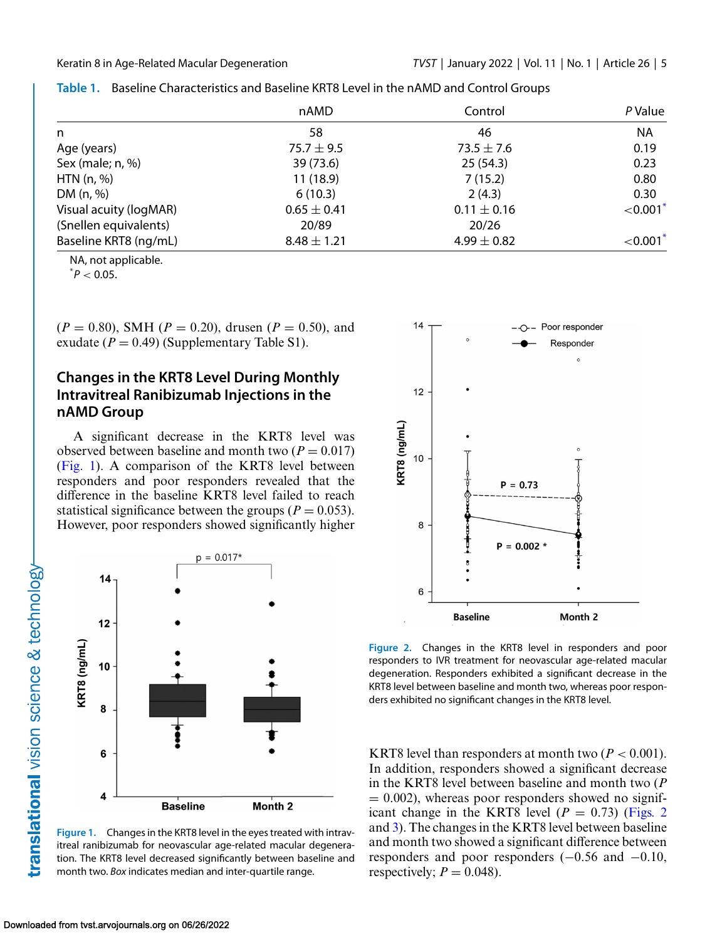|                        | nAMD            | Control         | P Value     |  |
|------------------------|-----------------|-----------------|-------------|--|
| n                      | 58              | 46              | <b>NA</b>   |  |
| Age (years)            | 75.7 $\pm$ 9.5  | $73.5 \pm 7.6$  | 0.19        |  |
| Sex (male; n, %)       | 39 (73.6)       | 25(54.3)        | 0.23        |  |
| HTN $(n, %)$           | 11(18.9)        | 7(15.2)         | 0.80        |  |
| DM (n, %)              | 6(10.3)         | 2(4.3)          | 0.30        |  |
| Visual acuity (logMAR) | $0.65 \pm 0.41$ | $0.11 \pm 0.16$ | ${<}0.001*$ |  |
| (Snellen equivalents)  | 20/89           | 20/26           |             |  |
| Baseline KRT8 (ng/mL)  | $8.48 \pm 1.21$ | 4.99 $\pm$ 0.82 | ${<}0.001*$ |  |

<span id="page-4-0"></span>**Table 1.** Baseline Characteristics and Baseline KRT8 Level in the nAMD and Control Groups

NA, not applicable.

 $^*P < 0.05$ .

 $(P = 0.80)$ , SMH ( $P = 0.20$ ), drusen ( $P = 0.50$ ), and exudate  $(P = 0.49)$  (Supplementary Table S1).

### **Changes in the KRT8 Level During Monthly Intravitreal Ranibizumab Injections in the nAMD Group**

A significant decrease in the KRT8 level was observed between baseline and month two  $(P = 0.017)$ (Fig. 1). A comparison of the KRT8 level between responders and poor responders revealed that the difference in the baseline KRT8 level failed to reach statistical significance between the groups ( $P = 0.053$ ). However, poor responders showed significantly higher



**Figure 1.** Changes in the KRT8 level in the eyes treated with intravitreal ranibizumab for neovascular age-related macular degeneration. The KRT8 level decreased significantly between baseline and month two. *Box* indicates median and inter-quartile range.



**Figure 2.** Changes in the KRT8 level in responders and poor responders to IVR treatment for neovascular age-related macular degeneration. Responders exhibited a significant decrease in the KRT8 level between baseline and month two, whereas poor responders exhibited no significant changes in the KRT8 level.

KRT8 level than responders at month two  $(P < 0.001)$ . In addition, responders showed a significant decrease in the KRT8 level between baseline and month two (*P*  $= 0.002$ ), whereas poor responders showed no significant change in the KRT8 level  $(P = 0.73)$  (Figs. 2) and [3\)](#page-5-0). The changes in the KRT8 level between baseline and month two showed a significant difference between responders and poor responders (−0.56 and −0.10, respectively;  $P = 0.048$ ).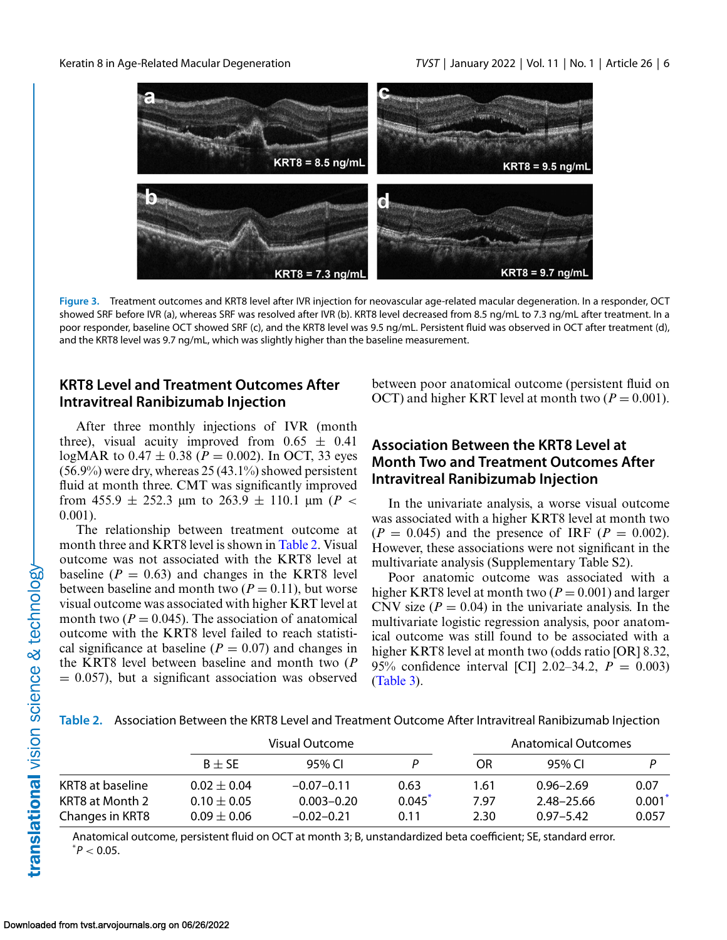<span id="page-5-0"></span>

**Figure 3.** Treatment outcomes and KRT8 level after IVR injection for neovascular age-related macular degeneration. In a responder, OCT showed SRF before IVR (a), whereas SRF was resolved after IVR (b). KRT8 level decreased from 8.5 ng/mL to 7.3 ng/mL after treatment. In a poor responder, baseline OCT showed SRF (c), and the KRT8 level was 9.5 ng/mL. Persistent fluid was observed in OCT after treatment (d), and the KRT8 level was 9.7 ng/mL, which was slightly higher than the baseline measurement.

#### **KRT8 Level and Treatment Outcomes After Intravitreal Ranibizumab Injection**

After three monthly injections of IVR (month three), visual acuity improved from  $0.65 \pm 0.41$ logMAR to  $0.47 \pm 0.38$  ( $P = 0.002$ ). In OCT, 33 eyes  $(56.9\%)$  were dry, whereas 25 (43.1%) showed persistent fluid at month three. CMT was significantly improved from 455.9  $\pm$  252.3  $\mu$ m to 263.9  $\pm$  110.1  $\mu$ m (*P <* 0.001).

The relationship between treatment outcome at month three and KRT8 level is shown in Table 2. Visual outcome was not associated with the KRT8 level at baseline  $(P = 0.63)$  and changes in the KRT8 level between baseline and month two  $(P = 0.11)$ , but worse visual outcome was associated with higher KRT level at month two  $(P = 0.045)$ . The association of anatomical outcome with the KRT8 level failed to reach statistical significance at baseline  $(P = 0.07)$  and changes in the KRT8 level between baseline and month two (*P*  $= 0.057$ , but a significant association was observed between poor anatomical outcome (persistent fluid on OCT) and higher KRT level at month two  $(P = 0.001)$ .

### **Association Between the KRT8 Level at Month Two and Treatment Outcomes After Intravitreal Ranibizumab Injection**

In the univariate analysis, a worse visual outcome was associated with a higher KRT8 level at month two  $(P = 0.045)$  and the presence of IRF  $(P = 0.002)$ . However, these associations were not significant in the multivariate analysis (Supplementary Table S2).

Poor anatomic outcome was associated with a higher KRT8 level at month two  $(P = 0.001)$  and larger CNV size  $(P = 0.04)$  in the univariate analysis. In the multivariate logistic regression analysis, poor anatomical outcome was still found to be associated with a higher KRT8 level at month two (odds ratio [OR] 8.32, 95% confidence interval [CI] 2.02–34.2, *P* = 0.003) [\(Table 3\)](#page-6-0).

**Table 2.** Association Between the KRT8 Level and Treatment Outcome After Intravitreal Ranibizumab Injection

|                  |                 | Visual Outcome |        |      | Anatomical Outcomes |       |  |  |
|------------------|-----------------|----------------|--------|------|---------------------|-------|--|--|
|                  | $B + SE$        | 95% CL         |        | OR.  | 95% CL              |       |  |  |
| KRT8 at baseline | $0.02 + 0.04$   | $-0.07-0.11$   | 0.63   | 1.61 | $0.96 - 2.69$       | 0.07  |  |  |
| KRT8 at Month 2  | $0.10 + 0.05$   | $0.003 - 0.20$ | 0.045' | 7.97 | 2.48-25.66          | 0.001 |  |  |
| Changes in KRT8  | $0.09 \pm 0.06$ | $-0.02 - 0.21$ | 0.11   | 2.30 | $0.97 - 5.42$       | 0.057 |  |  |

Anatomical outcome, persistent fluid on OCT at month 3; B, unstandardized beta coefficient; SE, standard error.  $^*P < 0.05$ .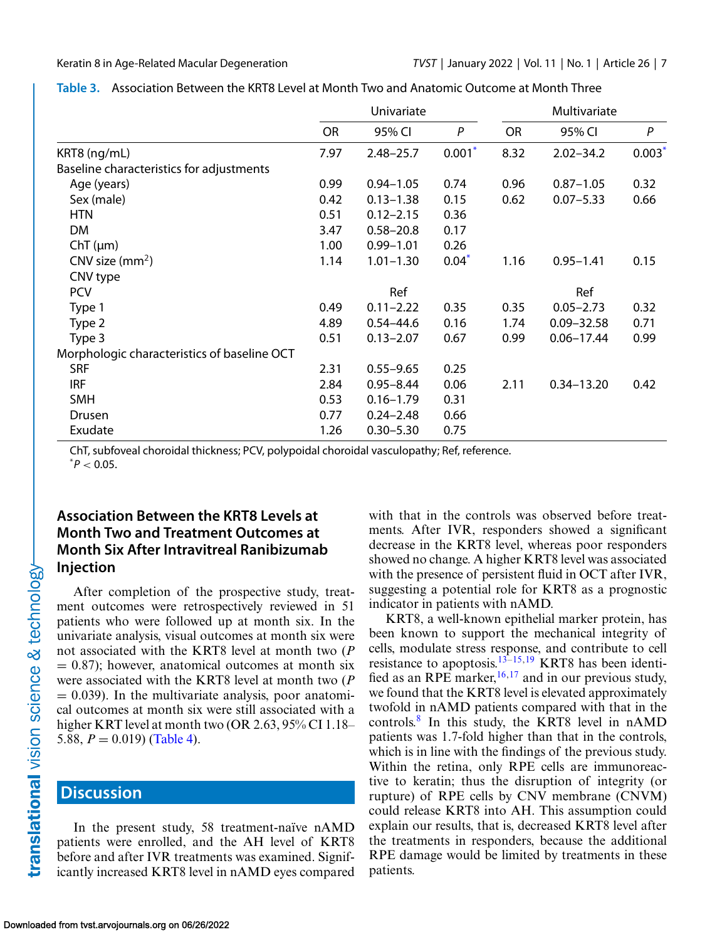|                                             | Univariate |               |          | Multivariate |                |       |
|---------------------------------------------|------------|---------------|----------|--------------|----------------|-------|
|                                             | <b>OR</b>  | 95% CI        | P        | <b>OR</b>    | 95% CI         | P     |
| KRT8 (ng/mL)                                | 7.97       | $2.48 - 25.7$ | $0.001*$ | 8.32         | $2.02 - 34.2$  | 0.003 |
| Baseline characteristics for adjustments    |            |               |          |              |                |       |
| Age (years)                                 | 0.99       | $0.94 - 1.05$ | 0.74     | 0.96         | $0.87 - 1.05$  | 0.32  |
| Sex (male)                                  | 0.42       | $0.13 - 1.38$ | 0.15     | 0.62         | $0.07 - 5.33$  | 0.66  |
| <b>HTN</b>                                  | 0.51       | $0.12 - 2.15$ | 0.36     |              |                |       |
| DM                                          | 3.47       | $0.58 - 20.8$ | 0.17     |              |                |       |
| $ChT(\mu m)$                                | 1.00       | $0.99 - 1.01$ | 0.26     |              |                |       |
| CNV size $(mm2)$                            | 1.14       | $1.01 - 1.30$ | $0.04*$  | 1.16         | $0.95 - 1.41$  | 0.15  |
| CNV type                                    |            |               |          |              |                |       |
| <b>PCV</b>                                  |            | Ref           |          |              | Ref            |       |
| Type 1                                      | 0.49       | $0.11 - 2.22$ | 0.35     | 0.35         | $0.05 - 2.73$  | 0.32  |
| Type 2                                      | 4.89       | $0.54 - 44.6$ | 0.16     | 1.74         | $0.09 - 32.58$ | 0.71  |
| Type 3                                      | 0.51       | $0.13 - 2.07$ | 0.67     | 0.99         | $0.06 - 17.44$ | 0.99  |
| Morphologic characteristics of baseline OCT |            |               |          |              |                |       |
| <b>SRF</b>                                  | 2.31       | $0.55 - 9.65$ | 0.25     |              |                |       |
| <b>IRF</b>                                  | 2.84       | $0.95 - 8.44$ | 0.06     | 2.11         | $0.34 - 13.20$ | 0.42  |
| <b>SMH</b>                                  | 0.53       | $0.16 - 1.79$ | 0.31     |              |                |       |
| Drusen                                      | 0.77       | $0.24 - 2.48$ | 0.66     |              |                |       |
| Exudate                                     | 1.26       | $0.30 - 5.30$ | 0.75     |              |                |       |

<span id="page-6-0"></span>

| Table 3. Association Between the KRT8 Level at Month Two and Anatomic Outcome at Month Three |  |
|----------------------------------------------------------------------------------------------|--|
|----------------------------------------------------------------------------------------------|--|

ChT, subfoveal choroidal thickness; PCV, polypoidal choroidal vasculopathy; Ref, reference.

 $^*P < 0.05$ .

### **Association Between the KRT8 Levels at Month Two and Treatment Outcomes at Month Six After Intravitreal Ranibizumab Injection**

After completion of the prospective study, treatment outcomes were retrospectively reviewed in 51 patients who were followed up at month six. In the univariate analysis, visual outcomes at month six were not associated with the KRT8 level at month two (*P*  $= 0.87$ ); however, anatomical outcomes at month six were associated with the KRT8 level at month two (*P*  $= 0.039$ ). In the multivariate analysis, poor anatomical outcomes at month six were still associated with a higher KRT level at month two (OR 2.63, 95% CI 1.18– 5.88,  $P = 0.019$  [\(Table 4\)](#page-7-0).

# **Discussion**

In the present study, 58 treatment-naïve nAMD patients were enrolled, and the AH level of KRT8 before and after IVR treatments was examined. Significantly increased KRT8 level in nAMD eyes compared with that in the controls was observed before treatments. After IVR, responders showed a significant decrease in the KRT8 level, whereas poor responders showed no change. A higher KRT8 level was associated with the presence of persistent fluid in OCT after IVR, suggesting a potential role for KRT8 as a prognostic indicator in patients with nAMD.

KRT8, a well-known epithelial marker protein, has been known to support the mechanical integrity of cells, modulate stress response, and contribute to cell resistance to apoptosis.<sup>[13–15,19](#page-9-0)</sup> KRT8 has been identified as an RPE marker,  $16,17$  and in our previous study, we found that the KRT8 level is elevated approximately twofold in nAMD patients compared with that in the controls.[8](#page-9-0) In this study, the KRT8 level in nAMD patients was 1.7-fold higher than that in the controls, which is in line with the findings of the previous study. Within the retina, only RPE cells are immunoreactive to keratin; thus the disruption of integrity (or rupture) of RPE cells by CNV membrane (CNVM) could release KRT8 into AH. This assumption could explain our results, that is, decreased KRT8 level after the treatments in responders, because the additional RPE damage would be limited by treatments in these patients.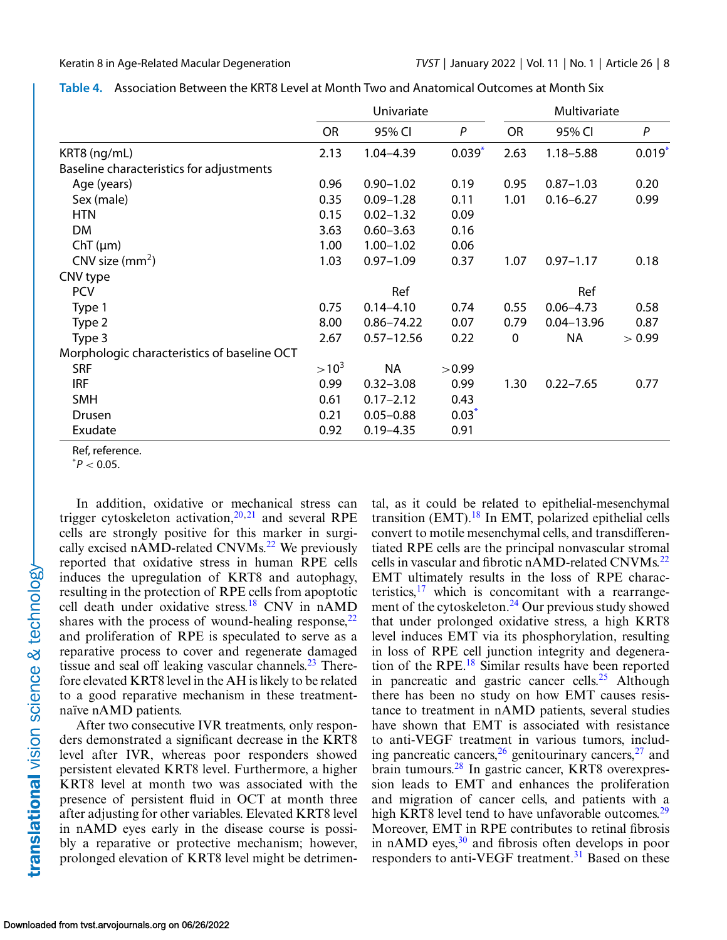|                                             | Univariate |                |             | Multivariate |                |                      |
|---------------------------------------------|------------|----------------|-------------|--------------|----------------|----------------------|
|                                             | <b>OR</b>  | 95% CI         | P           | <b>OR</b>    | 95% CI         | P                    |
| KRT8 (ng/mL)                                | 2.13       | 1.04-4.39      | $0.039^{*}$ | 2.63         | $1.18 - 5.88$  | $0.019$ <sup>*</sup> |
| Baseline characteristics for adjustments    |            |                |             |              |                |                      |
| Age (years)                                 | 0.96       | $0.90 - 1.02$  | 0.19        | 0.95         | $0.87 - 1.03$  | 0.20                 |
| Sex (male)                                  | 0.35       | $0.09 - 1.28$  | 0.11        | 1.01         | $0.16 - 6.27$  | 0.99                 |
| <b>HTN</b>                                  | 0.15       | $0.02 - 1.32$  | 0.09        |              |                |                      |
| <b>DM</b>                                   | 3.63       | $0.60 - 3.63$  | 0.16        |              |                |                      |
| $ChT(\mu m)$                                | 1.00       | $1.00 - 1.02$  | 0.06        |              |                |                      |
| CNV size $(mm2)$                            | 1.03       | $0.97 - 1.09$  | 0.37        | 1.07         | $0.97 - 1.17$  | 0.18                 |
| CNV type                                    |            |                |             |              |                |                      |
| <b>PCV</b>                                  |            | Ref            |             |              | Ref            |                      |
| Type 1                                      | 0.75       | $0.14 - 4.10$  | 0.74        | 0.55         | $0.06 - 4.73$  | 0.58                 |
| Type 2                                      | 8.00       | $0.86 - 74.22$ | 0.07        | 0.79         | $0.04 - 13.96$ | 0.87                 |
| Type 3                                      | 2.67       | $0.57 - 12.56$ | 0.22        | 0            | <b>NA</b>      | > 0.99               |
| Morphologic characteristics of baseline OCT |            |                |             |              |                |                      |
| <b>SRF</b>                                  | $>10^3$    | <b>NA</b>      | >0.99       |              |                |                      |
| <b>IRF</b>                                  | 0.99       | $0.32 - 3.08$  | 0.99        | 1.30         | $0.22 - 7.65$  | 0.77                 |
| <b>SMH</b>                                  | 0.61       | $0.17 - 2.12$  | 0.43        |              |                |                      |
| Drusen                                      | 0.21       | $0.05 - 0.88$  | $0.03*$     |              |                |                      |
| Exudate                                     | 0.92       | $0.19 - 4.35$  | 0.91        |              |                |                      |

<span id="page-7-0"></span>

| Table 4. Association Between the KRT8 Level at Month Two and Anatomical Outcomes at Month Six |  |
|-----------------------------------------------------------------------------------------------|--|
|-----------------------------------------------------------------------------------------------|--|

Ref, reference.

 $^*P < 0.05$ .

In addition, oxidative or mechanical stress can trigger cytoskeleton activation, $20,21$  and several RPE cells are strongly positive for this marker in surgi-cally excised nAMD-related CNVMs.<sup>[22](#page-9-0)</sup> We previously reported that oxidative stress in human RPE cells induces the upregulation of KRT8 and autophagy, resulting in the protection of RPE cells from apoptotic cell death under oxidative stress[.18](#page-9-0) CNV in nAMD shares with the process of wound-healing response,  $22$ and proliferation of RPE is speculated to serve as a reparative process to cover and regenerate damaged tissue and seal off leaking vascular channels. $^{23}$  Therefore elevated KRT8 level in the AH is likely to be related to a good reparative mechanism in these treatmentnaïve nAMD patients.

After two consecutive IVR treatments, only responders demonstrated a significant decrease in the KRT8 level after IVR, whereas poor responders showed persistent elevated KRT8 level. Furthermore, a higher KRT8 level at month two was associated with the presence of persistent fluid in OCT at month three after adjusting for other variables. Elevated KRT8 level in nAMD eyes early in the disease course is possibly a reparative or protective mechanism; however, prolonged elevation of KRT8 level might be detrimen-

tal, as it could be related to epithelial-mesenchymal transition (EMT). $^{18}$  $^{18}$  $^{18}$  In EMT, polarized epithelial cells convert to motile mesenchymal cells, and transdifferentiated RPE cells are the principal nonvascular stromal cells in vascular and fibrotic nAMD-related CNVMs.<sup>22</sup> EMT ultimately results in the loss of RPE characteristics, $17$  which is concomitant with a rearrangement of the cytoskeleton.<sup>24</sup> Our previous study showed that under prolonged oxidative stress, a high KRT8 level induces EMT via its phosphorylation, resulting in loss of RPE cell junction integrity and degeneration of the RPE[.18](#page-9-0) Similar results have been reported in pancreatic and gastric cancer cells.<sup>[25](#page-9-0)</sup> Although there has been no study on how EMT causes resistance to treatment in nAMD patients, several studies have shown that EMT is associated with resistance to anti-VEGF treatment in various tumors, including pancreatic cancers,  $26$  genitourinary cancers,  $27$  and brain tumours[.28](#page-9-0) In gastric cancer, KRT8 overexpression leads to EMT and enhances the proliferation and migration of cancer cells, and patients with a high KRT8 level tend to have unfavorable outcomes.<sup>29</sup> Moreover, EMT in RPE contributes to retinal fibrosis in nAMD eyes, $30$  and fibrosis often develops in poor responders to anti-VEGF treatment.<sup>[31](#page-10-0)</sup> Based on these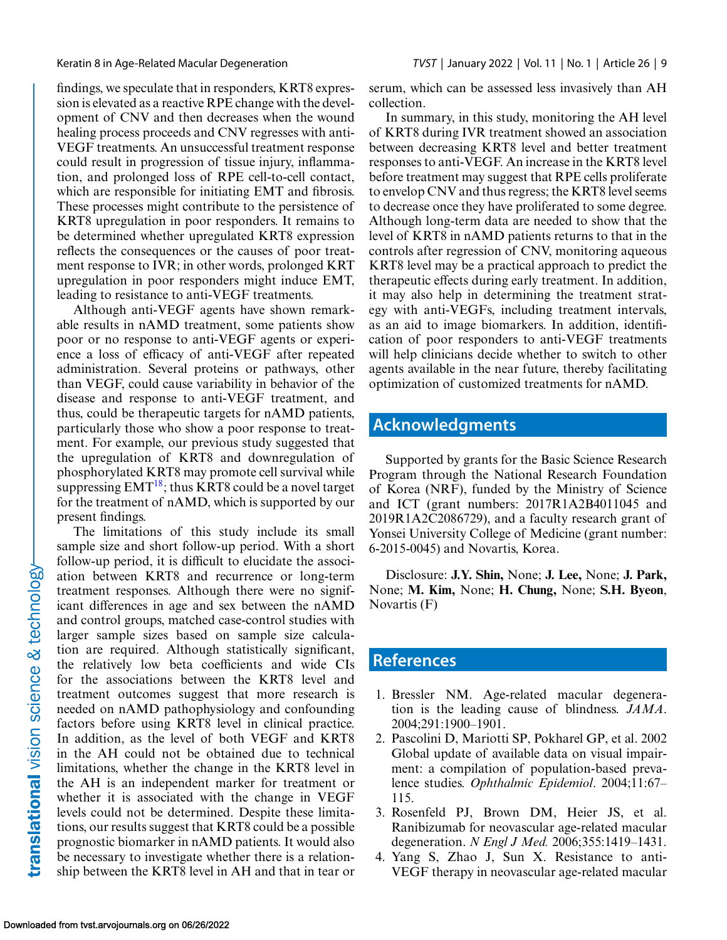<span id="page-8-0"></span>findings, we speculate that in responders, KRT8 expression is elevated as a reactive RPE change with the development of CNV and then decreases when the wound healing process proceeds and CNV regresses with anti-VEGF treatments. An unsuccessful treatment response could result in progression of tissue injury, inflammation, and prolonged loss of RPE cell-to-cell contact, which are responsible for initiating EMT and fibrosis. These processes might contribute to the persistence of KRT8 upregulation in poor responders. It remains to be determined whether upregulated KRT8 expression reflects the consequences or the causes of poor treatment response to IVR; in other words, prolonged KRT upregulation in poor responders might induce EMT, leading to resistance to anti-VEGF treatments.

Although anti-VEGF agents have shown remarkable results in nAMD treatment, some patients show poor or no response to anti-VEGF agents or experience a loss of efficacy of anti-VEGF after repeated administration. Several proteins or pathways, other than VEGF, could cause variability in behavior of the disease and response to anti-VEGF treatment, and thus, could be therapeutic targets for nAMD patients, particularly those who show a poor response to treatment. For example, our previous study suggested that the upregulation of KRT8 and downregulation of phosphorylated KRT8 may promote cell survival while suppressing  $EMT^{18}$ ; thus KRT8 could be a novel target for the treatment of nAMD, which is supported by our present findings.

The limitations of this study include its small sample size and short follow-up period. With a short follow-up period, it is difficult to elucidate the association between KRT8 and recurrence or long-term treatment responses. Although there were no significant differences in age and sex between the nAMD and control groups, matched case-control studies with larger sample sizes based on sample size calculation are required. Although statistically significant, the relatively low beta coefficients and wide CIs for the associations between the KRT8 level and treatment outcomes suggest that more research is needed on nAMD pathophysiology and confounding factors before using KRT8 level in clinical practice. In addition, as the level of both VEGF and KRT8 in the AH could not be obtained due to technical limitations, whether the change in the KRT8 level in the AH is an independent marker for treatment or whether it is associated with the change in VEGF levels could not be determined. Despite these limitations, our results suggest that KRT8 could be a possible prognostic biomarker in nAMD patients. It would also be necessary to investigate whether there is a relationship between the KRT8 level in AH and that in tear or serum, which can be assessed less invasively than AH collection.

In summary, in this study, monitoring the AH level of KRT8 during IVR treatment showed an association between decreasing KRT8 level and better treatment responses to anti-VEGF. An increase in the KRT8 level before treatment may suggest that RPE cells proliferate to envelop CNV and thus regress; the KRT8 level seems to decrease once they have proliferated to some degree. Although long-term data are needed to show that the level of KRT8 in nAMD patients returns to that in the controls after regression of CNV, monitoring aqueous KRT8 level may be a practical approach to predict the therapeutic effects during early treatment. In addition, it may also help in determining the treatment strategy with anti-VEGFs, including treatment intervals, as an aid to image biomarkers. In addition, identification of poor responders to anti-VEGF treatments will help clinicians decide whether to switch to other agents available in the near future, thereby facilitating optimization of customized treatments for nAMD.

# **Acknowledgments**

Supported by grants for the Basic Science Research Program through the National Research Foundation of Korea (NRF), funded by the Ministry of Science and ICT (grant numbers: 2017R1A2B4011045 and 2019R1A2C2086729), and a faculty research grant of Yonsei University College of Medicine (grant number: 6-2015-0045) and Novartis, Korea.

Disclosure: **J.Y. Shin,** None; **J. Lee,** None; **J. Park,** None; **M. Kim,** None; **H. Chung,** None; **S.H. Byeon**, Novartis (F)

### **References**

- 1. Bressler NM. Age-related macular degeneration is the leading cause of blindness. *JAMA*. 2004;291:1900–1901.
- 2. Pascolini D, Mariotti SP, Pokharel GP, et al. 2002 Global update of available data on visual impairment: a compilation of population-based prevalence studies. *Ophthalmic Epidemiol*. 2004;11:67– 115.
- 3. Rosenfeld PJ, Brown DM, Heier JS, et al. Ranibizumab for neovascular age-related macular degeneration. *N Engl J Med.* 2006;355:1419–1431.
- 4. Yang S, Zhao J, Sun X. Resistance to anti-VEGF therapy in neovascular age-related macular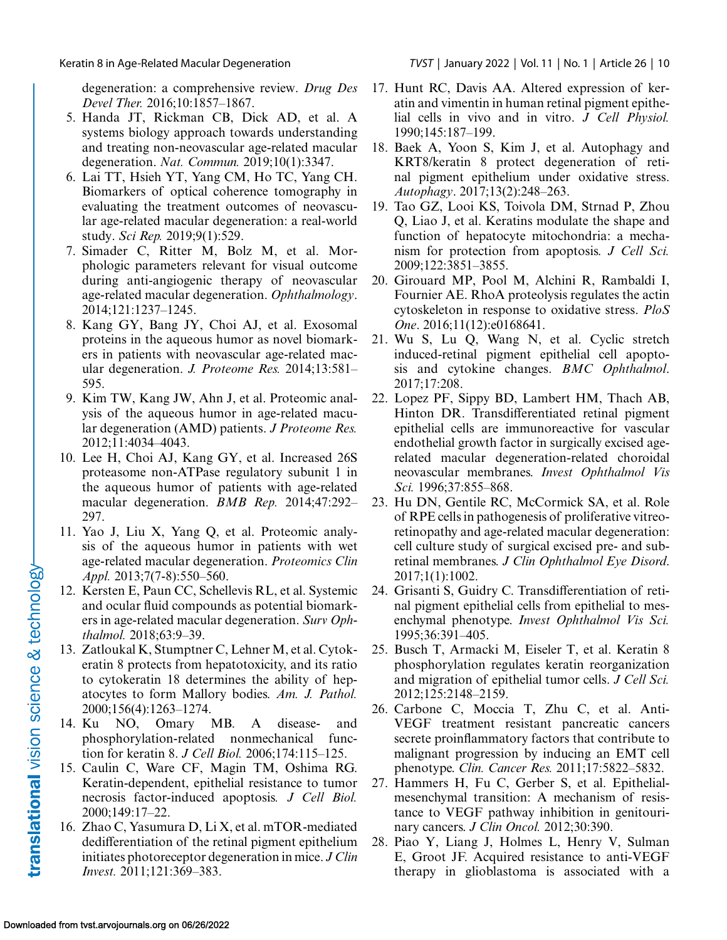<span id="page-9-0"></span>degeneration: a comprehensive review. *Drug Des Devel Ther.* 2016;10:1857–1867.

- 5. Handa JT, Rickman CB, Dick AD, et al. A systems biology approach towards understanding and treating non-neovascular age-related macular degeneration. *Nat. Commun.* 2019;10(1):3347.
- 6. Lai TT, Hsieh YT, Yang CM, Ho TC, Yang CH. Biomarkers of optical coherence tomography in evaluating the treatment outcomes of neovascular age-related macular degeneration: a real-world study. *Sci Rep.* 2019;9(1):529.
- 7. Simader C, Ritter M, Bolz M, et al. Morphologic parameters relevant for visual outcome during anti-angiogenic therapy of neovascular age-related macular degeneration. *Ophthalmology*. 2014;121:1237–1245.
- 8. Kang GY, Bang JY, Choi AJ, et al. Exosomal proteins in the aqueous humor as novel biomarkers in patients with neovascular age-related macular degeneration. *J. Proteome Res.* 2014;13:581– 595.
- 9. Kim TW, Kang JW, Ahn J, et al. Proteomic analysis of the aqueous humor in age-related macular degeneration (AMD) patients. *J Proteome Res.* 2012;11:4034–4043.
- 10. Lee H, Choi AJ, Kang GY, et al. Increased 26S proteasome non-ATPase regulatory subunit 1 in the aqueous humor of patients with age-related macular degeneration. *BMB Rep.* 2014;47:292– 297.
- 11. Yao J, Liu X, Yang Q, et al. Proteomic analysis of the aqueous humor in patients with wet age-related macular degeneration. *Proteomics Clin Appl.* 2013;7(7-8):550–560.
- 12. Kersten E, Paun CC, Schellevis RL, et al. Systemic and ocular fluid compounds as potential biomarkers in age-related macular degeneration. *Surv Ophthalmol.* 2018;63:9–39.
- 13. Zatloukal K, Stumptner C, Lehner M, et al. Cytokeratin 8 protects from hepatotoxicity, and its ratio to cytokeratin 18 determines the ability of hepatocytes to form Mallory bodies. *Am. J. Pathol.* 2000;156(4):1263–1274.
- 14. Ku NO, Omary MB. A disease- and phosphorylation-related nonmechanical function for keratin 8. *J Cell Biol.* 2006;174:115–125.
- 15. Caulin C, Ware CF, Magin TM, Oshima RG. Keratin-dependent, epithelial resistance to tumor necrosis factor-induced apoptosis*. J Cell Biol.* 2000;149:17–22.
- 16. Zhao C, Yasumura D, Li X, et al. mTOR-mediated dedifferentiation of the retinal pigment epithelium initiates photoreceptor degeneration in mice. *J Clin Invest.* 2011;121:369–383.
- 17. Hunt RC, Davis AA. Altered expression of keratin and vimentin in human retinal pigment epithelial cells in vivo and in vitro. *J Cell Physiol.* 1990;145:187–199.
- 18. Baek A, Yoon S, Kim J, et al. Autophagy and KRT8/keratin 8 protect degeneration of retinal pigment epithelium under oxidative stress. *Autophagy*. 2017;13(2):248–263.
- 19. Tao GZ, Looi KS, Toivola DM, Strnad P, Zhou Q, Liao J, et al. Keratins modulate the shape and function of hepatocyte mitochondria: a mechanism for protection from apoptosis. *J Cell Sci.* 2009;122:3851–3855.
- 20. Girouard MP, Pool M, Alchini R, Rambaldi I, Fournier AE. RhoA proteolysis regulates the actin cytoskeleton in response to oxidative stress. *PloS One*. 2016;11(12):e0168641.
- 21. Wu S, Lu Q, Wang N, et al. Cyclic stretch induced-retinal pigment epithelial cell apoptosis and cytokine changes. *BMC Ophthalmol*. 2017;17:208.
- 22. Lopez PF, Sippy BD, Lambert HM, Thach AB, Hinton DR. Transdifferentiated retinal pigment epithelial cells are immunoreactive for vascular endothelial growth factor in surgically excised agerelated macular degeneration-related choroidal neovascular membranes. *Invest Ophthalmol Vis Sci.* 1996;37:855–868.
- 23. Hu DN, Gentile RC, McCormick SA, et al. Role of RPE cells in pathogenesis of proliferative vitreoretinopathy and age-related macular degeneration: cell culture study of surgical excised pre- and subretinal membranes. *J Clin Ophthalmol Eye Disord*. 2017;1(1):1002.
- 24. Grisanti S, Guidry C. Transdifferentiation of retinal pigment epithelial cells from epithelial to mesenchymal phenotype. *Invest Ophthalmol Vis Sci.* 1995;36:391–405.
- 25. Busch T, Armacki M, Eiseler T, et al. Keratin 8 phosphorylation regulates keratin reorganization and migration of epithelial tumor cells. *J Cell Sci.* 2012;125:2148–2159.
- 26. Carbone C, Moccia T, Zhu C, et al. Anti-VEGF treatment resistant pancreatic cancers secrete proinflammatory factors that contribute to malignant progression by inducing an EMT cell phenotype. *Clin. Cancer Res.* 2011;17:5822–5832.
- 27. Hammers H, Fu C, Gerber S, et al. Epithelialmesenchymal transition: A mechanism of resistance to VEGF pathway inhibition in genitourinary cancers. *J Clin Oncol.* 2012;30:390.
- 28. Piao Y, Liang J, Holmes L, Henry V, Sulman E, Groot JF. Acquired resistance to anti-VEGF therapy in glioblastoma is associated with a